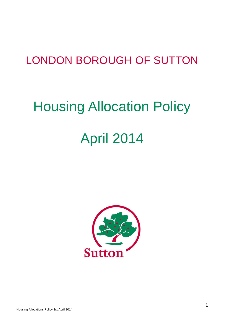# LONDON BOROUGH OF SUTTON

# Housing Allocation Policy April 2014

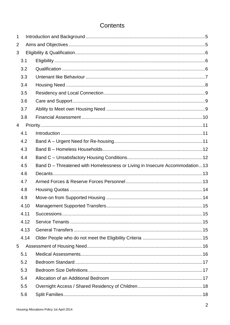# Contents

| 1              |      |                                                                             |    |
|----------------|------|-----------------------------------------------------------------------------|----|
| $\overline{2}$ |      |                                                                             |    |
| 3              |      |                                                                             |    |
|                | 3.1  |                                                                             |    |
|                | 3.2  |                                                                             |    |
|                | 3.3  |                                                                             |    |
|                | 3.4  |                                                                             |    |
|                | 3.5  |                                                                             |    |
|                | 3.6  |                                                                             |    |
|                | 3.7  |                                                                             |    |
|                | 3.8  |                                                                             |    |
| $\overline{4}$ |      |                                                                             |    |
|                | 4.1  |                                                                             |    |
|                | 4.2  |                                                                             |    |
|                | 4.3  |                                                                             |    |
|                | 4.4  |                                                                             |    |
|                | 4.5  | Band D - Threatened with Homelessness or Living in Insecure Accommodation13 |    |
|                | 4.6  |                                                                             |    |
|                | 4.7  |                                                                             |    |
|                | 4.8  |                                                                             |    |
|                | 4.9  |                                                                             |    |
|                | 4.10 |                                                                             | 15 |
|                | 4.11 |                                                                             |    |
|                | 4.12 |                                                                             |    |
|                | 4.13 |                                                                             |    |
|                | 4.14 |                                                                             |    |
| 5              |      |                                                                             |    |
|                | 5.1  |                                                                             |    |
|                | 5.2  |                                                                             |    |
|                | 5.3  |                                                                             |    |
|                | 5.4  |                                                                             |    |
|                | 5.5  |                                                                             |    |
|                | 5.6  |                                                                             |    |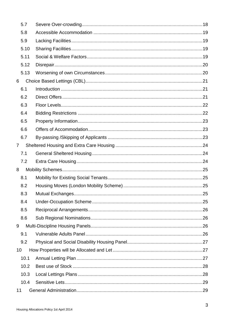|                | 5.7  |  |
|----------------|------|--|
|                | 5.8  |  |
|                | 5.9  |  |
|                | 5.10 |  |
|                | 5.11 |  |
|                | 5.12 |  |
|                | 5.13 |  |
| 6              |      |  |
|                | 6.1  |  |
|                | 6.2  |  |
|                | 6.3  |  |
|                | 6.4  |  |
|                | 6.5  |  |
|                | 6.6  |  |
|                | 6.7  |  |
| $\overline{7}$ |      |  |
|                | 7.1  |  |
|                | 7.2  |  |
| 8              |      |  |
|                | 8.1  |  |
|                | 8.2  |  |
|                | 8.3  |  |
|                | 8.4  |  |
|                | 8.5  |  |
|                | 8.6  |  |
| 9              |      |  |
|                | 9.1  |  |
|                | 9.2  |  |
| 10             |      |  |
|                | 10.1 |  |
|                | 10.2 |  |
|                | 10.3 |  |
|                | 10.4 |  |
| 11             |      |  |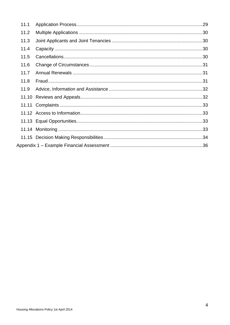| 11.1 |  |
|------|--|
| 11.2 |  |
| 11.3 |  |
| 11.4 |  |
| 11.5 |  |
| 11.6 |  |
| 11.7 |  |
| 11.8 |  |
| 11.9 |  |
|      |  |
|      |  |
|      |  |
|      |  |
|      |  |
|      |  |
|      |  |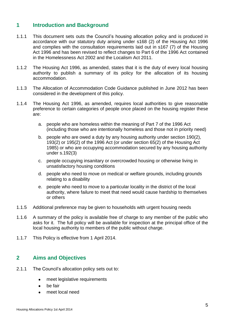## <span id="page-4-0"></span>**1 Introduction and Background**

- 1.1.1 This document sets outs the Council's housing allocation policy and is produced in accordance with our statutory duty arising under s168 (2) of the Housing Act 1996 and complies with the consultation requirements laid out in s167 (7) of the Housing Act 1996 and has been revised to reflect changes to Part 6 of the 1996 Act contained in the Homelessness Act 2002 and the Localism Act 2011.
- 1.1.2 The Housing Act 1996, as amended, states that it is the duty of every local housing authority to publish a summary of its policy for the allocation of its housing accommodation.
- 1.1.3 The Allocation of Accommodation Code Guidance published in June 2012 has been considered in the development of this policy.
- 1.1.4 The Housing Act 1996, as amended, requires local authorities to give reasonable preference to certain categories of people once placed on the housing register these are:
	- a. people who are homeless within the meaning of Part 7 of the 1996 Act (including those who are intentionally homeless and those not in priority need)
	- b. people who are owed a duty by any housing authority under section 190(2), 193(2) or 195(2) of the 1996 Act (or under section 65(2) of the Housing Act 1985) or who are occupying accommodation secured by any housing authority under s.192(3)
	- c. people occupying insanitary or overcrowded housing or otherwise living in unsatisfactory housing conditions
	- d. people who need to move on medical or welfare grounds, including grounds relating to a disability
	- e. people who need to move to a particular locality in the district of the local authority, where failure to meet that need would cause hardship to themselves or others
- 1.1.5 Additional preference may be given to households with urgent housing needs
- 1.1.6 A summary of the policy is available free of charge to any member of the public who asks for it. The full policy will be available for inspection at the principal office of the local housing authority to members of the public without charge.
- 1.1.7 This Policy is effective from 1 April 2014.

# <span id="page-4-1"></span>**2 Aims and Objectives**

- 2.1.1 The Council's allocation policy sets out to:
	- meet legislative requirements  $\bullet$
	- be fair
	- meet local need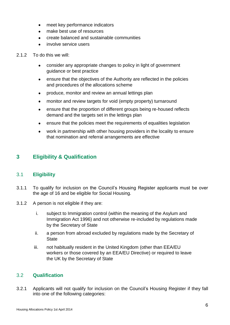- meet key performance indicators
- make best use of resources
- create balanced and sustainable communities
- involve service users
- 2.1.2 To do this we will:
	- consider any appropriate changes to policy in light of government guidance or best practice
	- ensure that the objectives of the Authority are reflected in the policies and procedures of the allocations scheme
	- produce, monitor and review an annual lettings plan
	- monitor and review targets for void (empty property) turnaround
	- ensure that the proportion of different groups being re-housed reflects demand and the targets set in the lettings plan
	- ensure that the policies meet the requirements of equalities legislation
	- work in partnership with other housing providers in the locality to ensure that nomination and referral arrangements are effective

# <span id="page-5-0"></span>**3 Eligibility & Qualification**

#### <span id="page-5-1"></span>3.1 **Eligibility**

- 3.1.1 To qualify for inclusion on the Council's Housing Register applicants must be over the age of 16 and be eligible for Social Housing.
- 3.1.2 A person is not eligible if they are:
	- i. subject to Immigration control (within the meaning of the Asylum and Immigration Act 1996) and not otherwise re-included by regulations made by the Secretary of State
	- ii. a person from abroad excluded by regulations made by the Secretary of **State**
	- iii. not habitually resident in the United Kingdom (other than EEA/EU workers or those covered by an EEA/EU Directive) or required to leave the UK by the Secretary of State

#### <span id="page-5-2"></span>3.2 **Qualification**

3.2.1 Applicants will not qualify for inclusion on the Council's Housing Register if they fall into one of the following categories: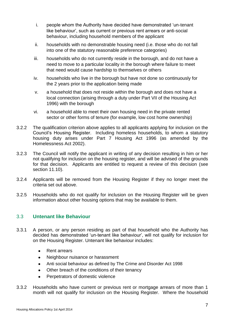- i. people whom the Authority have decided have demonstrated 'un-tenant like behaviour', such as current or previous rent arrears or anti-social behaviour, including household members of the applicant
- ii. households with no demonstrable housing need (i.e. those who do not fall into one of the statutory reasonable preference categories)
- iii. households who do not currently reside in the borough, and do not have a need to move to a particular locality in the borough where failure to meet that need would cause hardship to themselves or others
- iv. households who live in the borough but have not done so continuously for the 2 years prior to the application being made
- v. a household that does not reside within the borough and does not have a local connection (arising through a duty under Part VII of the Housing Act 1996) with the borough
- vi. a household able to meet their own housing need in the private rented sector or other forms of tenure (for example, low cost home ownership)
- 3.2.2 The qualification criterion above applies to all applicants applying for inclusion on the Council's Housing Register. Including homeless households, to whom a statutory housing duty arises under Part 7 Housing Act 1996 (as amended by the Homelessness Act 2002).
- 3.2.3 The Council will notify the applicant in writing of any decision resulting in him or her not qualifying for inclusion on the housing register, and will be advised of the grounds for that decision. Applicants are entitled to request a review of this decision (see section [11.10\)](#page-31-1).
- 3.2.4 Applicants will be removed from the Housing Register if they no longer meet the criteria set out above.
- 3.2.5 Households who do not qualify for inclusion on the Housing Register will be given information about other housing options that may be available to them.

#### <span id="page-6-0"></span>3.3 **Untenant like Behaviour**

- 3.3.1 A person, or any person residing as part of that household who the Authority has decided has demonstrated 'un-tenant like behaviour', will not qualify for inclusion for on the Housing Register. Untenant like behaviour includes:
	- Rent arrears  $\bullet$
	- Neighbour nuisance or harassment  $\bullet$
	- Anti social behaviour as defined by The Crime and Disorder Act 1998
	- Other breach of the conditions of their tenancy  $\bullet$
	- Perpetrators of domestic violence
- 3.3.2 Households who have current or previous rent or mortgage arrears of more than 1 month will not qualify for inclusion on the Housing Register. Where the household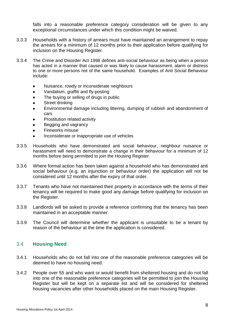falls into a reasonable preference category consideration will be given to any exceptional circumstances under which this condition might be waived.

- 3.3.3 Households with a history of arrears must have maintained an arrangement to repay the arrears for a minimum of 12 months prior to their application before qualifying for inclusion on the Housing Register.
- 3.3.4 The Crime and Disorder Act 1998 defines anti-social behaviour as being when a person has acted in a manner that caused or was likely to cause harassment, alarm or distress to one or more persons not of the same household. Examples of Anti Social Behaviour include:
	- Nuisance, rowdy or inconsiderate neighbours  $\bullet$
	- Vandalism, graffiti and fly-posting  $\bullet$
	- The buying or selling of drugs in public
	- Street drinking
	- Environmental damage including littering, dumping of rubbish and abandonment of cars
	- Prostitution related activity
	- Begging and vagrancy
	- Fireworks misuse
	- Inconsiderate or inappropriate use of vehicles
- 3.3.5 Households who have demonstrated anti social behaviour, neighbour nuisance or harassment will need to demonstrate a change in their behaviour for a minimum of 12 months before being permitted to join the Housing Register.
- 3.3.6 Where formal action has been taken against a household who has demonstrated anti social behaviour (e.g. an injunction or behaviour order) the application will not be considered until 12 months after the expiry of that order.
- 3.3.7 Tenants who have not maintained their property in accordance with the terms of their tenancy will be required to make good any damage before qualifying for inclusion on the Register.
- 3.3.8 Landlords will be asked to provide a reference confirming that the tenancy has been maintained in an acceptable manner.
- 3.3.9 The Council will determine whether the applicant is unsuitable to be a tenant by reason of the behaviour at the time the application is considered.

#### <span id="page-7-0"></span>3.4 **Housing Need**

- 3.4.1 Households who do not fall into one of the reasonable preference categories will be deemed to have no housing need.
- 3.4.2 People over 55 and who want or would benefit from sheltered housing and do not fall into one of the reasonable preference categories will be permitted to join the Housing Register but will be kept on a separate list and will be considered for sheltered housing vacancies after other households placed on the main Housing Register.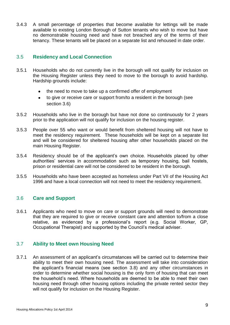3.4.3 A small percentage of properties that become available for lettings will be made available to existing London Borough of Sutton tenants who wish to move but have no demonstrable housing need and have not breached any of the terms of their tenancy. These tenants will be placed on a separate list and rehoused in date order.

#### <span id="page-8-0"></span>3.5 **Residency and Local Connection**

- 3.5.1 Households who do not currently live in the borough will not qualify for inclusion on the Housing Register unless they need to move to the borough to avoid hardship. Hardship grounds include:
	- the need to move to take up a confirmed offer of employment
	- to give or receive care or support from/to a resident in the borough (see  $\bullet$ section [3.6\)](#page-8-1)
- 3.5.2 Households who live in the borough but have not done so continuously for 2 years prior to the application will not qualify for inclusion on the housing register.
- 3.5.3 People over 55 who want or would benefit from sheltered housing will not have to meet the residency requirement. These households will be kept on a separate list and will be considered for sheltered housing after other households placed on the main Housing Register.
- 3.5.4 Residency should be of the applicant's own choice. Households placed by other authorities' services in accommodation such as temporary housing, bail hostels, prison or residential care will not be considered to be resident in the borough.
- 3.5.5 Households who have been accepted as homeless under Part VII of the Housing Act 1996 and have a local connection will not need to meet the residency requirement.

#### <span id="page-8-1"></span>3.6 **Care and Support**

3.6.1 Applicants who need to move on care or support grounds will need to demonstrate that they are required to give or receive constant care and attention to/from a close relative, as evidenced by a professional's report (e.g. Social Worker, GP, Occupational Therapist) and supported by the Council's medical adviser.

#### <span id="page-8-2"></span>3.7 **Ability to Meet own Housing Need**

3.7.1 An assessment of an applicant's circumstances will be carried out to determine their ability to meet their own housing need. The assessment will take into consideration the applicant's financial means (see section [3.8\)](#page-9-0) and any other circumstances in order to determine whether social housing is the only form of housing that can meet the household's need. Where households are deemed to be able to meet their own housing need through other housing options including the private rented sector they will not qualify for inclusion on the Housing Register.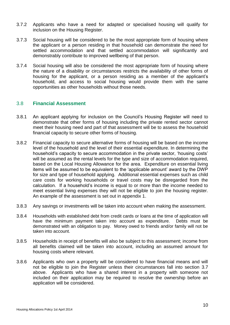- 3.7.2 Applicants who have a need for adapted or specialised housing will qualify for inclusion on the Housing Register.
- 3.7.3 Social housing will be considered to be the most appropriate form of housing where the applicant or a person residing in that household can demonstrate the need for settled accommodation and that settled accommodation will significantly and demonstrably contribute to improved wellbeing of that person.
- 3.7.4 Social housing will also be considered the most appropriate form of housing where the nature of a disability or circumstances restricts the availability of other forms of housing for the applicant, or a person residing as a member of the applicant's household, and access to social housing would provide them with the same opportunities as other households without those needs.

#### <span id="page-9-0"></span>3.8 **Financial Assessment**

- 3.8.1 An applicant applying for inclusion on the Council's Housing Register will need to demonstrate that other forms of housing including the private rented sector cannot meet their housing need and part of that assessment will be to assess the household financial capacity to secure other forms of housing.
- 3.8.2 Financial capacity to secure alternative forms of housing will be based on the income level of the household and the level of their essential expenditure. In determining the household's capacity to secure accommodation in the private sector, 'housing costs' will be assumed as the rental levels for the type and size of accommodation required, based on the Local Housing Allowance for the area. Expenditure on essential living items will be assumed to be equivalent to the 'applicable amount' award by the DWP for size and type of household applying. Additional essential expenses such as child care costs for working households or travel costs may be disregarded from the calculation. If a household's income is equal to or more than the income needed to meet essential living expenses they will not be eligible to join the housing register. An example of the assessment is set out in appendix 1.
- 3.8.3 Any savings or investments will be taken into account when making the assessment.
- 3.8.4 Households with established debt from credit cards or loans at the time of application will have the minimum payment taken into account as expenditure. Debts must be demonstrated with an obligation to pay. Money owed to friends and/or family will not be taken into account.
- 3.8.5 Households in receipt of benefits will also be subject to this assessment; income from all benefits claimed will be taken into account, including an assumed amount for housing costs where relevant.
- 3.8.6 Applicants who own a property will be considered to have financial means and will not be eligible to join the Register unless their circumstances fall into section [3.7](#page-8-2) above. Applicants who have a shared interest in a property with someone not included on their application may be required to resolve the ownership before an application will be considered.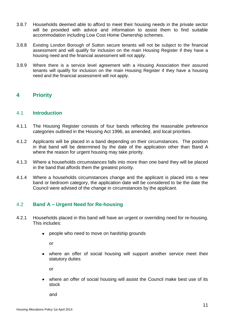- 3.8.7 Households deemed able to afford to meet their housing needs in the private sector will be provided with advice and information to assist them to find suitable accommodation including Low Cost Home Ownership schemes.
- 3.8.8 Existing London Borough of Sutton secure tenants will not be subject to the financial assessment and will qualify for inclusion on the main Housing Register if they have a housing need and the financial assessment will not apply.
- 3.8.9 Where there is a service level agreement with a Housing Association their assured tenants will qualify for inclusion on the main Housing Register if they have a housing need and the financial assessment will not apply.

## <span id="page-10-0"></span>**4 Priority**

#### <span id="page-10-1"></span>4.1 **Introduction**

- 4.1.1 The Housing Register consists of four bands reflecting the reasonable preference categories outlined in the Housing Act 1996, as amended, and local priorities.
- 4.1.2 Applicants will be placed in a band depending on their circumstances. The position in that band will be determined by the date of the application other than Band A where the reason for urgent housing may take priority.
- 4.1.3 Where a households circumstances falls into more than one band they will be placed in the band that affords them the greatest priority.
- 4.1.4 Where a households circumstances change and the applicant is placed into a new band or bedroom category, the application date will be considered to be the date the Council were advised of the change in circumstances by the applicant.

#### <span id="page-10-2"></span>4.2 **Band A – Urgent Need for Re-housing**

- 4.2.1 Households placed in this band will have an urgent or overriding need for re-housing. This includes:
	- people who need to move on hardship grounds

or

where an offer of social housing will support another service meet their statutory duties

or

where an offer of social housing will assist the Council make best use of its stock

and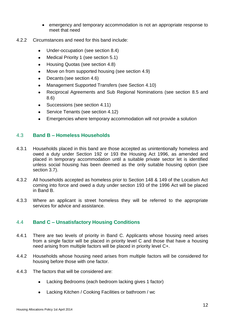- emergency and temporary accommodation is not an appropriate response to meet that need
- 4.2.2 Circumstances and need for this band include:
	- Under-occupation (see section [8.4\)](#page-24-4)
	- Medical Priority 1 (see section [5.1\)](#page-15-1)
	- Housing Quotas (see section [4.8\)](#page-13-0)
	- Move on from supported housing (see section [4.9\)](#page-13-1)
	- Decants (see section [4.6\)](#page-12-1)
	- Management Supported Transfers (see Section [4.10\)](#page-14-0)
	- Reciprocal Agreements and Sub Regional Nominations (see section [8.5](#page-25-0) and [8.6\)](#page-25-1)
	- Successions (see section [4.11\)](#page-14-1)
	- Service Tenants (see section [4.12\)](#page-14-2)
	- Emergencies where temporary accommodation will not provide a solution

#### <span id="page-11-0"></span>4.3 **Band B – Homeless Households**

- 4.3.1 Households placed in this band are those accepted as unintentionally homeless and owed a duty under Section 192 or 193 the Housing Act 1996, as amended and placed in temporary accommodation until a suitable private sector let is identified unless social housing has been deemed as the only suitable housing option (see section [3.7\)](#page-8-2).
- 4.3.2 All households accepted as homeless prior to Section 148 & 149 of the Localism Act coming into force and owed a duty under section 193 of the 1996 Act will be placed in Band B.
- 4.3.3 Where an applicant is street homeless they will be referred to the appropriate services for advice and assistance.

#### <span id="page-11-1"></span>4.4 **Band C – Unsatisfactory Housing Conditions**

- 4.4.1 There are two levels of priority in Band C. Applicants whose housing need arises from a single factor will be placed in priority level C and those that have a housing need arising from multiple factors will be placed in priority level C+.
- 4.4.2 Households whose housing need arises from multiple factors will be considered for housing before those with one factor.
- 4.4.3 The factors that will be considered are:
	- Lacking Bedrooms (each bedroom lacking gives 1 factor)  $\bullet$
	- Lacking Kitchen / Cooking Facilities or bathroom / wc $\bullet$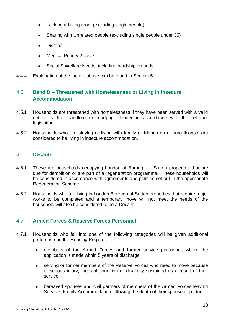- Lacking a Living room (excluding single people)
- Sharing with Unrelated people (excluding single people under 35)
- **Disrepair**
- Medical Priority 2 cases  $\bullet$
- Social & Welfare Needs, including hardship grounds  $\bullet$
- 4.4.4 Explanation of the factors above can be found in Section [5](#page-15-0)

#### <span id="page-12-0"></span>4.5 **Band D – Threatened with Homelessness or Living in Insecure Accommodation**

- 4.5.1 Households are threatened with homelessness if they have been served with a valid notice by their landlord or mortgage lender in accordance with the relevant legislation.
- 4.5.2 Households who are staying or living with family or friends on a 'bare license' are considered to be living in insecure accommodation.

#### <span id="page-12-1"></span>4.6 **Decants**

- 4.6.1 These are households occupying London of Borough of Sutton properties that are due for demolition or are part of a regeneration programme. These households will be considered in accordance with agreements and policies set out in the appropriate Regeneration Scheme
- 4.6.2 Households who are living in London Borough of Sutton properties that require major works to be completed and a temporary move will not meet the needs of the household will also be considered to be a Decant.

#### <span id="page-12-2"></span>4.7 **Armed Forces & Reserve Forces Personnel**

- 4.7.1 Households who fall into one of the following categories will be given additional preference on the Housing Register:
	- members of the Armed Forces and former service personnel, where the application is made within 5 years of discharge
	- $\bullet$ serving or former members of the Reserve Forces who need to move because of serious injury, medical condition or disability sustained as a result of their service
	- bereaved spouses and civil partners of members of the Armed Forces leaving Services Family Accommodation following the death of their spouse or partner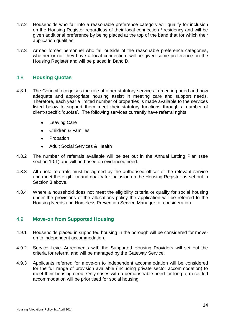- 4.7.2 Households who fall into a reasonable preference category will qualify for inclusion on the Housing Register regardless of their local connection / residency and will be given additional preference by being placed at the top of the band that for which their application qualifies.
- 4.7.3 Armed forces personnel who fall outside of the reasonable preference categories, whether or not they have a local connection, will be given some preference on the Housing Register and will be placed in Band D.

#### <span id="page-13-0"></span>4.8 **Housing Quotas**

- 4.8.1 The Council recognises the role of other statutory services in meeting need and how adequate and appropriate housing assist in meeting care and support needs. Therefore, each year a limited number of properties is made available to the services listed below to support them meet their statutory functions through a number of client-specific 'quotas'. The following services currently have referral rights:
	- $\bullet$ Leaving Care
	- Children & Families  $\bullet$
	- Probation  $\bullet$
	- Adult Social Services & Health  $\bullet$
- 4.8.2 The number of referrals available will be set out in the Annual Letting Plan (see section [10.1\)](#page-26-2) and will be based on evidenced need.
- 4.8.3 All quota referrals must be agreed by the authorised officer of the relevant service and meet the eligibility and qualify for inclusion on the Housing Register as set out in Section [3](#page-5-0) above.
- 4.8.4 Where a household does not meet the eligibility criteria or qualify for social housing under the provisions of the allocations policy the application will be referred to the Housing Needs and Homeless Prevention Service Manager for consideration.

#### <span id="page-13-1"></span>4.9 **Move-on from Supported Housing**

- 4.9.1 Households placed in supported housing in the borough will be considered for moveon to independent accommodation.
- 4.9.2 Service Level Agreements with the Supported Housing Providers will set out the criteria for referral and will be managed by the Gateway Service.
- 4.9.3 Applicants referred for move-on to independent accommodation will be considered for the full range of provision available (including private sector accommodation) to meet their housing need. Only cases with a demonstrable need for long term settled accommodation will be prioritised for social housing.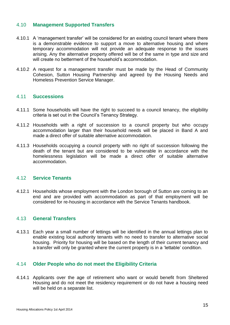#### <span id="page-14-0"></span>4.10 **Management Supported Transfers**

- 4.10.1 A 'management transfer' will be considered for an existing council tenant where there is a demonstrable evidence to support a move to alternative housing and where temporary accommodation will not provide an adequate response to the issues arising. Any the alternative property offered will be of the same in type and size and will create no betterment of the household's accommodation.
- 4.10.2 A request for a management transfer must be made by the Head of Community Cohesion, Sutton Housing Partnership and agreed by the Housing Needs and Homeless Prevention Service Manager.

#### <span id="page-14-1"></span>4.11 **Successions**

- 4.11.1 Some households will have the right to succeed to a council tenancy, the eligibility criteria is set out in the Council's Tenancy Strategy.
- 4.11.2 Households with a right of succession to a council property but who occupy accommodation larger than their household needs will be placed in Band A and made a direct offer of suitable alternative accommodation
- 4.11.3 Households occupying a council property with no right of succession following the death of the tenant but are considered to be vulnerable in accordance with the homelessness legislation will be made a direct offer of suitable alternative accommodation.

#### <span id="page-14-2"></span>4.12 **Service Tenants**

4.12.1 Households whose employment with the London borough of Sutton are coming to an end and are provided with accommodation as part of that employment will be considered for re-housing in accordance with the Service Tenants handbook.

#### <span id="page-14-3"></span>4.13 **General Transfers**

4.13.1 Each year a small number of lettings will be identified in the annual lettings plan to enable existing local authority tenants with no need to transfer to alternative social housing. Priority for housing will be based on the length of their current tenancy and a transfer will only be granted where the current property is in a 'lettable' condition.

#### <span id="page-14-4"></span>4.14 **Older People who do not meet the Eligibility Criteria**

4.14.1 Applicants over the age of retirement who want or would benefit from Sheltered Housing and do not meet the residency requirement or do not have a housing need will be held on a separate list.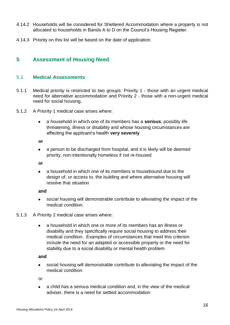- 4.14.2 Households will be considered for Sheltered Accommodation where a property is not allocated to households in Bands A to D on the Council's Housing Register.
- 4.14.3 Priority on this list will be based on the date of application.

# <span id="page-15-0"></span>**5 Assessment of Housing Need**

#### <span id="page-15-1"></span>5.1 **Medical Assessments**

- 5.1.1 Medical priority is restricted to two groups: Priority 1 those with an urgent medical need for alternative accommodation and Priority 2 - those with a non-urgent medical need for social housing.
- 5.1.2 A Priority 1 medical case arises where:
	- a household in which one of its members has a **serious**, possibly life  $\bullet$ threatening, illness or disability and whose housing circumstances are affecting the applicant's health **very severely**

**or** 

a person to be discharged from hospital, and it is likely will be deemed priority, non-intentionally homeless if not re-housed

**or**

a household in which one of its members is housebound due to the design of, or access to, the building and where alternative housing will resolve that situation

#### **and**

social housing will demonstrable contribute to alleviating the impact of the medical condition.

#### 5.1.3 A Priority 2 medical case arises where:

a household in which one or more of its members has an illness or  $\bullet$ disability and they specifically require social housing to address their medical condition. Examples of circumstances that meet this criterion include the need for an adapted or accessible property or the need for stability due to a social disability or mental health problem

#### **and**

social housing will demonstrable contribute to alleviating the impact of the medical condition

or

a child has a serious medical condition and, in the view of the medical adviser, there is a need for settled accommodation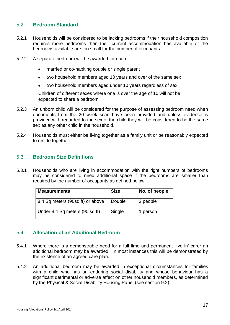#### <span id="page-16-0"></span>5.2 **Bedroom Standard**

- 5.2.1 Households will be considered to be lacking bedrooms if their household composition requires more bedrooms than their current accommodation has available or the bedrooms available are too small for the number of occupants.
- 5.2.2 A separate bedroom will be awarded for each:
	- married or co-habiting couple or single parent
	- two household members aged 10 years and over of the same sex  $\bullet$
	- two household members aged under 10 years regardless of sex

Children of different sexes where one is over the age of 10 will not be expected to share a bedroom

- 5.2.3 An unborn child will be considered for the purpose of assessing bedroom need when documents from the 20 week scan have been provided and unless evidence is provided with regarded to the sex of the child they will be considered to be the same sex as any other child in the household.
- 5.2.4 Households must either be living together as a family unit or be reasonably expected to reside together.

#### <span id="page-16-1"></span>5.3 **Bedroom Size Definitions**

5.3.1 Households who are living in accommodation with the right numbers of bedrooms may be considered to need additional space if the bedrooms are smaller than required by the number of occupants as defined below

| <b>Measurements</b>              | <b>Size</b> | No. of people |  |
|----------------------------------|-------------|---------------|--|
| 8.4 Sq meters (90sq ft) or above | Double      | 2 people      |  |
| Under 8.4 Sq meters (90 sq ft)   | Single      | 1 person      |  |

#### <span id="page-16-2"></span>5.4 **Allocation of an Additional Bedroom**

- 5.4.1 Where there is a demonstrable need for a full time and permanent 'live-in' carer an additional bedroom may be awarded. In most instances this will be demonstrated by the existence of an agreed care plan.
- 5.4.2 An additional bedroom may be awarded in exceptional circumstances for families with a child who has an enduring social disability and whose behaviour has a significant detrimental or adverse affect on other household members, as determined by the Physical & Social Disability Housing Panel (see section [9.2\)](#page-26-0).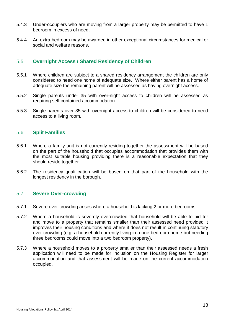- 5.4.3 Under-occupiers who are moving from a larger property may be permitted to have 1 bedroom in excess of need.
- 5.4.4 An extra bedroom may be awarded in other exceptional circumstances for medical or social and welfare reasons.

#### <span id="page-17-0"></span>5.5 **Overnight Access / Shared Residency of Children**

- 5.5.1 Where children are subject to a shared residency arrangement the children are only considered to need one home of adequate size. Where either parent has a home of adequate size the remaining parent will be assessed as having overnight access.
- 5.5.2 Single parents under 35 with over-night access to children will be assessed as requiring self contained accommodation.
- 5.5.3 Single parents over 35 with overnight access to children will be considered to need access to a living room.

#### <span id="page-17-1"></span>5.6 **Split Families**

- 5.6.1 Where a family unit is not currently residing together the assessment will be based on the part of the household that occupies accommodation that provides them with the most suitable housing providing there is a reasonable expectation that they should reside together.
- 5.6.2 The residency qualification will be based on that part of the household with the longest residency in the borough.

#### <span id="page-17-2"></span>5.7 **Severe Over-crowding**

- 5.7.1 Severe over-crowding arises where a household is lacking 2 or more bedrooms.
- 5.7.2 Where a household is severely overcrowded that household will be able to bid for and move to a property that remains smaller than their assessed need provided it improves their housing conditions and where it does not result in continuing statutory over-crowding (e.g. a household currently living in a one bedroom home but needing three bedrooms could move into a two bedroom property).
- 5.7.3 Where a household moves to a property smaller than their assessed needs a fresh application will need to be made for inclusion on the Housing Register for larger accommodation and that assessment will be made on the current accommodation occupied.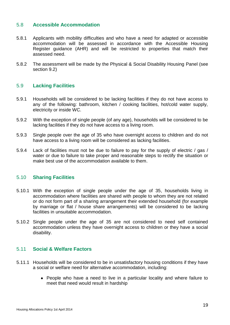#### <span id="page-18-0"></span>5.8 **Accessible Accommodation**

- 5.8.1 Applicants with mobility difficulties and who have a need for adapted or accessible accommodation will be assessed in accordance with the Accessible Housing Register guidance (AHR) and will be restricted to properties that match their assessed need.
- 5.8.2 The assessment will be made by the Physical & Social Disability Housing Panel (see section [9.2\)](#page-26-0)

#### <span id="page-18-1"></span>5.9 **Lacking Facilities**

- 5.9.1 Households will be considered to be lacking facilities if they do not have access to any of the following: bathroom, kitchen / cooking facilities, hot/cold water supply, electricity or inside WC.
- 5.9.2 With the exception of single people (of any age), households will be considered to be lacking facilities if they do not have access to a living room.
- 5.9.3 Single people over the age of 35 who have overnight access to children and do not have access to a living room will be considered as lacking facilities.
- 5.9.4 Lack of facilities must not be due to failure to pay for the supply of electric / gas / water or due to failure to take proper and reasonable steps to rectify the situation or make best use of the accommodation available to them.

#### <span id="page-18-2"></span>5.10 **Sharing Facilities**

- 5.10.1 With the exception of single people under the age of 35, households living in accommodation where facilities are shared with people to whom they are not related or do not form part of a sharing arrangement their extended household (for example by marriage or flat / house share arrangements) will be considered to be lacking facilities in unsuitable accommodation.
- 5.10.2 Single people under the age of 35 are not considered to need self contained accommodation unless they have overnight access to children or they have a social disability.

#### <span id="page-18-3"></span>5.11 **Social & Welfare Factors**

- 5.11.1 Households will be considered to be in unsatisfactory housing conditions if they have a social or welfare need for alternative accommodation, including:
	- People who have a need to live in a particular locality and where failure to meet that need would result in hardship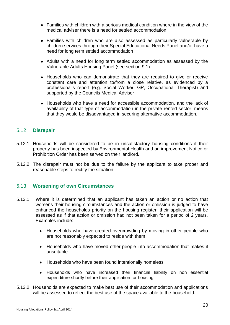- Families with children with a serious medical condition where in the view of the medical adviser there is a need for settled accommodation
- Families with children who are also assessed as particularly vulnerable by children services through their Special Educational Needs Panel and/or have a need for long term settled accommodation
- Adults with a need for long term settled accommodation as assessed by the Vulnerable Adults Housing Panel (see section [9.1\)](#page-25-3)
- Households who can demonstrate that they are required to give or receive constant care and attention to/from a close relative, as evidenced by a professional's report (e.g. Social Worker, GP, Occupational Therapist) and supported by the Councils Medical Adviser
- Households who have a need for accessible accommodation, and the lack of availability of that type of accommodation in the private rented sector, means that they would be disadvantaged in securing alternative accommodation.

#### <span id="page-19-0"></span>5.12 **Disrepair**

- 5.12.1 Households will be considered to be in unsatisfactory housing conditions if their property has been inspected by Environmental Health and an improvement Notice or Prohibition Order has been served on their landlord.
- 5.12.2 The disrepair must not be due to the failure by the applicant to take proper and reasonable steps to rectify the situation.

#### <span id="page-19-1"></span>5.13 **Worsening of own Circumstances**

- 5.13.1 Where it is determined that an applicant has taken an action or no action that worsens their housing circumstances and the action or omission is judged to have enhanced the households priority on the housing register, their application will be assessed as if that action or omission had not been taken for a period of 2 years. Examples include:
	- Households who have created overcrowding by moving in other people who are not reasonably expected to reside with them
	- Households who have moved other people into accommodation that makes it unsuitable
	- Households who have been found intentionally homeless
	- Households who have increased their financial liability on non essential expenditure shortly before their application for housing
- 5.13.2 Households are expected to make best use of their accommodation and applications will be assessed to reflect the best use of the space available to the household.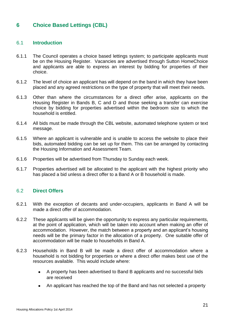# <span id="page-20-0"></span>**6 Choice Based Lettings (CBL)**

#### <span id="page-20-1"></span>6.1 **Introduction**

- 6.1.1 The Council operates a choice based lettings system; to participate applicants must be on the Housing Register. Vacancies are advertised through Sutton HomeChoice and applicants are able to express an interest by bidding for properties of their choice.
- 6.1.2 The level of choice an applicant has will depend on the band in which they have been placed and any agreed restrictions on the type of property that will meet their needs.
- 6.1.3 Other than where the circumstances for a direct offer arise, applicants on the Housing Register in Bands B, C and D and those seeking a transfer can exercise choice by bidding for properties advertised within the bedroom size to which the household is entitled.
- 6.1.4 All bids must be made through the CBL website, automated telephone system or text message.
- 6.1.5 Where an applicant is vulnerable and is unable to access the website to place their bids, automated bidding can be set up for them. This can be arranged by contacting the Housing Information and Assessment Team.
- 6.1.6 Properties will be advertised from Thursday to Sunday each week.
- 6.1.7 Properties advertised will be allocated to the applicant with the highest priority who has placed a bid unless a direct offer to a Band A or B household is made.

#### <span id="page-20-2"></span>6.2 **Direct Offers**

- 6.2.1 With the exception of decants and under-occupiers, applicants in Band A will be made a direct offer of accommodation.
- 6.2.2 These applicants will be given the opportunity to express any particular requirements, at the point of application, which will be taken into account when making an offer of accommodation. However, the match between a property and an applicant's housing needs will be the primary factor in the allocation of a property. One suitable offer of accommodation will be made to households in Band A.
- 6.2.3 Households in Band B will be made a direct offer of accommodation where a household is not bidding for properties or where a direct offer makes best use of the resources available. This would include where:
	- A property has been advertised to Band B applicants and no successful bids are received
	- An applicant has reached the top of the Band and has not selected a property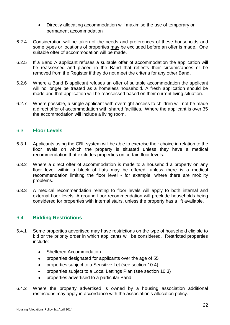- Directly allocating accommodation will maximise the use of temporary or permanent accommodation
- 6.2.4 Consideration will be taken of the needs and preferences of these households and some types or locations of properties may be excluded before an offer is made. One suitable offer of accommodation will be made.
- 6.2.5 If a Band A applicant refuses a suitable offer of accommodation the application will be reassessed and placed in the Band that reflects their circumstances or be removed from the Register if they do not meet the criteria for any other Band.
- 6.2.6 Where a Band B applicant refuses an offer of suitable accommodation the applicant will no longer be treated as a homeless household. A fresh application should be made and that application will be reassessed based on their current living situation.
- 6.2.7 Where possible, a single applicant with overnight access to children will not be made a direct offer of accommodation with shared facilities. Where the applicant is over 35 the accommodation will include a living room.

#### <span id="page-21-0"></span>6.3 **Floor Levels**

- 6.3.1 Applicants using the CBL system will be able to exercise their choice in relation to the floor levels on which the property is situated unless they have a medical recommendation that excludes properties on certain floor levels.
- 6.3.2 Where a direct offer of accommodation is made to a household a property on any floor level within a block of flats may be offered, unless there is a medical recommendation limiting the floor level - for example, where there are mobility problems.
- 6.3.3 A medical recommendation relating to floor levels will apply to both internal and external floor levels. A ground floor recommendation will preclude households being considered for properties with internal stairs, unless the property has a lift available.

#### <span id="page-21-1"></span>6.4 **Bidding Restrictions**

- 6.4.1 Some properties advertised may have restrictions on the type of household eligible to bid or the priority order in which applicants will be considered. Restricted properties include:
	- Sheltered Accommodation
	- properties designated for applicants over the age of 55  $\bullet$
	- properties subject to a Sensitive Let (see section [10.4\)](#page-28-0)  $\bullet$
	- properties subject to a Local Lettings Plan (see section [10.3\)](#page-27-1)  $\bullet$
	- properties advertised to a particular Band
- 6.4.2 Where the property advertised is owned by a housing association additional restrictions may apply in accordance with the association's allocation policy.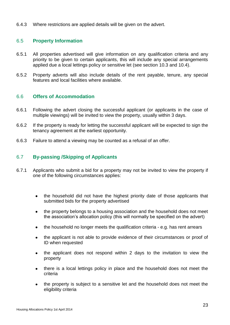6.4.3 Where restrictions are applied details will be given on the advert.

#### <span id="page-22-0"></span>6.5 **Property Information**

- 6.5.1 All properties advertised will give information on any qualification criteria and any priority to be given to certain applicants, this will include any special arrangements applied due a local lettings policy or sensitive let (see section [10.3](#page-27-1) and [10.4\)](#page-28-0).
- 6.5.2 Property adverts will also include details of the rent payable, tenure, any special features and local facilities where available.

#### <span id="page-22-1"></span>6.6 **Offers of Accommodation**

- 6.6.1 Following the advert closing the successful applicant (or applicants in the case of multiple viewings) will be invited to view the property, usually within 3 days.
- 6.6.2 If the property is ready for letting the successful applicant will be expected to sign the tenancy agreement at the earliest opportunity.
- 6.6.3 Failure to attend a viewing may be counted as a refusal of an offer.

#### <span id="page-22-2"></span>6.7 **By-passing /Skipping of Applicants**

- 6.7.1 Applicants who submit a bid for a property may not be invited to view the property if one of the following circumstances applies:
	- the household did not have the highest priority date of those applicants that submitted bids for the property advertised
	- the property belongs to a housing association and the household does not meet the association's allocation policy (this will normally be specified on the advert)
	- the household no longer meets the qualification criteria e.g. has rent arrears  $\bullet$
	- the applicant is not able to provide evidence of their circumstances or proof of ID when requested
	- the applicant does not respond within 2 days to the invitation to view the property
	- there is a local lettings policy in place and the household does not meet the criteria
	- the property is subject to a sensitive let and the household does not meet the eligibility criteria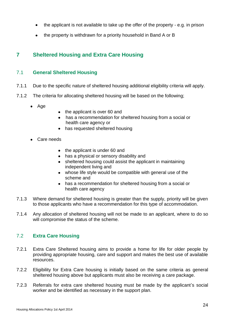- the applicant is not available to take up the offer of the property e.g. in prison
- the property is withdrawn for a priority household in Band A or B

# <span id="page-23-0"></span>**7 Sheltered Housing and Extra Care Housing**

#### <span id="page-23-1"></span>7.1 **General Sheltered Housing**

- 7.1.1 Due to the specific nature of sheltered housing additional eligibility criteria will apply.
- 7.1.2 The criteria for allocating sheltered housing will be based on the following;
	- Age
- the applicant is over 60 and
- has a recommendation for sheltered housing from a social or health care agency or
- has requested sheltered housing
- Care needs
	- the applicant is under 60 and
	- has a physical or sensory disability and
	- sheltered housing could assist the applicant in maintaining independent living and
	- whose life style would be compatible with general use of the scheme and
	- has a recommendation for sheltered housing from a social or health care agency
- 7.1.3 Where demand for sheltered housing is greater than the supply, priority will be given to those applicants who have a recommendation for this type of accommodation.
- 7.1.4 Any allocation of sheltered housing will not be made to an applicant, where to do so will compromise the status of the scheme.

#### <span id="page-23-2"></span>7.2 **Extra Care Housing**

- 7.2.1 Extra Care Sheltered housing aims to provide a home for life for older people by providing appropriate housing, care and support and makes the best use of available resources.
- 7.2.2 Eligibility for Extra Care housing is initially based on the same criteria as general sheltered housing above but applicants must also be receiving a care package.
- 7.2.3 Referrals for extra care sheltered housing must be made by the applicant's social worker and be identified as necessary in the support plan.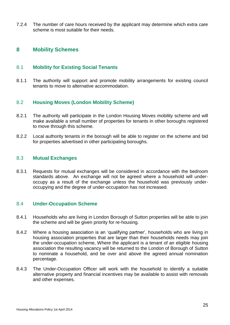7.2.4 The number of care hours received by the applicant may determine which extra care scheme is most suitable for their needs.

#### <span id="page-24-0"></span>**8 Mobility Schemes**

#### <span id="page-24-1"></span>8.1 **Mobility for Existing Social Tenants**

8.1.1 The authority will support and promote mobility arrangements for existing council tenants to move to alternative accommodation.

#### <span id="page-24-2"></span>8.2 **Housing Moves (London Mobility Scheme)**

- 8.2.1 The authority will participate in the London Housing Moves mobility scheme and will make available a small number of properties for tenants in other boroughs registered to move through this scheme.
- 8.2.2 Local authority tenants in the borough will be able to register on the scheme and bid for properties advertised in other participating boroughs.

#### <span id="page-24-3"></span>8.3 **Mutual Exchanges**

8.3.1 Requests for mutual exchanges will be considered in accordance with the bedroom standards above. An exchange will not be agreed where a household will underoccupy as a result of the exchange unless the household was previously underoccupying and the degree of under-occupation has not increased.

#### <span id="page-24-4"></span>8.4 **Under-Occupation Scheme**

- 8.4.1 Households who are living in London Borough of Sutton properties will be able to join the scheme and will be given priority for re-housing.
- 8.4.2 Where a housing association is an 'qualifying partner', households who are living in housing association properties that are larger than their households needs may join the under-occupation scheme, Where the applicant is a tenant of an eligible housing association the resulting vacancy will be returned to the London of Borough of Sutton to nominate a household, and be over and above the agreed annual nomination percentage.
- 8.4.3 The Under-Occupation Officer will work with the household to identify a suitable alternative property and financial incentives may be available to assist with removals and other expenses.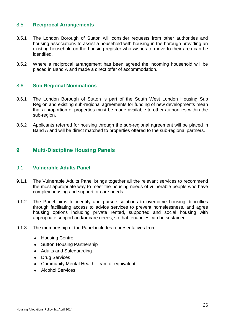#### <span id="page-25-0"></span>8.5 **Reciprocal Arrangements**

- 8.5.1 The London Borough of Sutton will consider requests from other authorities and housing associations to assist a household with housing in the borough providing an existing household on the housing register who wishes to move to their area can be identified.
- 8.5.2 Where a reciprocal arrangement has been agreed the incoming household will be placed in Band A and made a direct offer of accommodation.

#### <span id="page-25-1"></span>8.6 **Sub Regional Nominations**

- 8.6.1 The London Borough of Sutton is part of the South West London Housing Sub Region and existing sub-regional agreements for funding of new developments mean that a proportion of properties must be made available to other authorities within the sub-region.
- 8.6.2 Applicants referred for housing through the sub-regional agreement will be placed in Band A and will be direct matched to properties offered to the sub-regional partners.

#### <span id="page-25-2"></span>**9 Multi-Discipline Housing Panels**

#### <span id="page-25-3"></span>9.1 **Vulnerable Adults Panel**

- 9.1.1 The Vulnerable Adults Panel brings together all the relevant services to recommend the most appropriate way to meet the housing needs of vulnerable people who have complex housing and support or care needs.
- 9.1.2 The Panel aims to identify and pursue solutions to overcome housing difficulties through facilitating access to advice services to prevent homelessness, and agree housing options including private rented, supported and social housing with appropriate support and/or care needs, so that tenancies can be sustained.
- 9.1.3 The membership of the Panel includes representatives from:
	- Housing Centre
	- Sutton Housing Partnership
	- Adults and Safeguarding
	- Drug Services
	- Community Mental Health Team or equivalent
	- **Alcohol Services**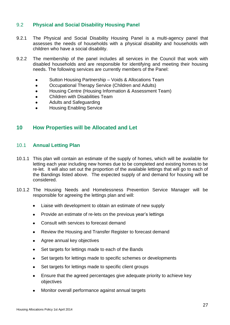#### <span id="page-26-0"></span>9.2 **Physical and Social Disability Housing Panel**

- 9.2.1 The Physical and Social Disability Housing Panel is a multi-agency panel that assesses the needs of households with a physical disability and households with children who have a social disability.
- 9.2.2 The membership of the panel includes all services in the Council that work with disabled households and are responsible for identifying and meeting their housing needs. The following services are currently members of the Panel:
	- Sutton Housing Partnership Voids & Allocations Team  $\bullet$
	- Occupational Therapy Service (Children and Adults)  $\bullet$
	- Housing Centre (Housing Information & Assessment Team)  $\bullet$
	- Children with Disabilities Team
	- Adults and Safeguarding  $\bullet$
	- Housing Enabling Service

#### <span id="page-26-1"></span>**10 How Properties will be Allocated and Let**

#### <span id="page-26-2"></span>10.1 **Annual Letting Plan**

- 10.1.1 This plan will contain an estimate of the supply of homes, which will be available for letting each year including new homes due to be completed and existing homes to be re-let. It will also set out the proportion of the available lettings that will go to each of the Bandings listed above. The expected supply of and demand for housing will be considered.
- 10.1.2 The Housing Needs and Homelessness Prevention Service Manager will be responsible for agreeing the lettings plan and will:
	- $\bullet$ Liaise with development to obtain an estimate of new supply
	- Provide an estimate of re-lets on the previous year's lettings  $\bullet$
	- Consult with services to forecast demand
	- Review the Housing and Transfer Register to forecast demand
	- Agree annual key objectives
	- Set targets for lettings made to each of the Bands
	- Set targets for lettings made to specific schemes or developments  $\bullet$
	- Set targets for lettings made to specific client groups  $\bullet$
	- $\bullet$ Ensure that the agreed percentages give adequate priority to achieve key objectives
	- Monitor overall performance against annual targets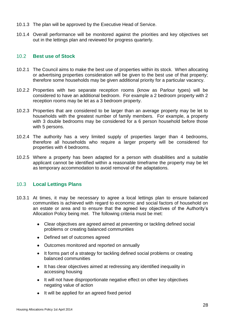- 10.1.3 The plan will be approved by the Executive Head of Service.
- 10.1.4 Overall performance will be monitored against the priorities and key objectives set out in the lettings plan and reviewed for progress quarterly.

#### <span id="page-27-0"></span>10.2 **Best use of Stock**

- 10.2.1 The Council aims to make the best use of properties within its stock. When allocating or advertising properties consideration will be given to the best use of that property; therefore some households may be given additional priority for a particular vacancy.
- 10.2.2 Properties with two separate reception rooms (know as Parlour types) will be considered to have an additional bedroom. For example a 2 bedroom property with 2 reception rooms may be let as a 3 bedroom property.
- 10.2.3 Properties that are considered to be larger than an average property may be let to households with the greatest number of family members. For example, a property with 3 double bedrooms may be considered for a 6 person household before those with 5 persons.
- 10.2.4 The authority has a very limited supply of properties larger than 4 bedrooms, therefore all households who require a larger property will be considered for properties with 4 bedrooms.
- 10.2.5 Where a property has been adapted for a person with disabilities and a suitable applicant cannot be identified within a reasonable timeframe the property may be let as temporary accommodation to avoid removal of the adaptations.

#### <span id="page-27-1"></span>10.3 **Local Lettings Plans**

- 10.3.1 At times, it may be necessary to agree a local lettings plan to ensure balanced communities is achieved with regard to economic and social factors of household on an estate or area and to ensure that the agreed key objectives of the Authority's Allocation Policy being met. The following criteria must be met:
	- Clear objectives are agreed aimed at preventing or tackling defined social problems or creating balanced communities
	- Defined set of outcomes agreed
	- Outcomes monitored and reported on annually
	- It forms part of a strategy for tackling defined social problems or creating balanced communities
	- It has clear objectives aimed at redressing any identified inequality in accessing housing
	- It will not have disproportionate negative effect on other key objectives negating value of action
	- It will be applied for an agreed fixed period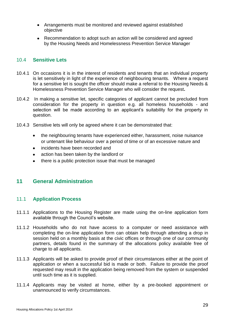- Arrangements must be monitored and reviewed against established objective
- Recommendation to adopt such an action will be considered and agreed by the Housing Needs and Homelessness Prevention Service Manager

#### <span id="page-28-0"></span>10.4 **Sensitive Lets**

- 10.4.1 On occasions it is in the interest of residents and tenants that an individual property is let sensitively in light of the experience of neighbouring tenants. Where a request for a sensitive let is sought the officer should make a referral to the Housing Needs & Homelessness Prevention Service Manager who will consider the request**.**
- 10.4.2 In making a sensitive let, specific categories of applicant cannot be precluded from consideration for the property in question e.g. all homeless households - and selection will be made according to an applicant's suitability for the property in question.
- 10.4.3 Sensitive lets will only be agreed where it can be demonstrated that:
	- the neighbouring tenants have experienced either, harassment, noise nuisance or untenant like behaviour over a period of time or of an excessive nature and
	- incidents have been recorded and
	- action has been taken by the landlord or  $\bullet$
	- there is a public protection issue that must be managed  $\bullet$

# <span id="page-28-1"></span>**11 General Administration**

#### <span id="page-28-2"></span>11.1 **Application Process**

- 11.1.1 Applications to the Housing Register are made using the on-line application form available through the Council's website.
- 11.1.2 Households who do not have access to a computer or need assistance with completing the on-line application form can obtain help through attending a drop in session held on a monthly basis at the civic offices or through one of our community partners, details found in the summary of the allocations policy available free of charge to all applicants.
- 11.1.3 Applicants will be asked to provide proof of their circumstances either at the point of application or when a successful bid is made or both. Failure to provide the proof requested may result in the application being removed from the system or suspended until such time as it is supplied.
- 11.1.4 Applicants may be visited at home, either by a pre-booked appointment or unannounced to verify circumstances.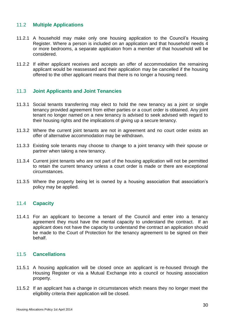#### <span id="page-29-0"></span>11.2 **Multiple Applications**

- 11.2.1 A household may make only one housing application to the Council's Housing Register. Where a person is included on an application and that household needs 4 or more bedrooms, a separate application from a member of that household will be considered.
- 11.2.2 If either applicant receives and accepts an offer of accommodation the remaining applicant would be reassessed and their application may be cancelled if the housing offered to the other applicant means that there is no longer a housing need.

#### <span id="page-29-1"></span>11.3 **Joint Applicants and Joint Tenancies**

- 11.3.1 Social tenants transferring may elect to hold the new tenancy as a joint or single tenancy provided agreement from either parties or a court order is obtained. Any joint tenant no longer named on a new tenancy is advised to seek advised with regard to their housing rights and the implications of giving up a secure tenancy.
- 11.3.2 Where the current joint tenants are not in agreement and no court order exists an offer of alternative accommodation may be withdrawn.
- 11.3.3 Existing sole tenants may choose to change to a joint tenancy with their spouse or partner when taking a new tenancy.
- 11.3.4 Current joint tenants who are not part of the housing application will not be permitted to retain the current tenancy unless a court order is made or there are exceptional circumstances.
- 11.3.5 Where the property being let is owned by a housing association that association's policy may be applied.

#### <span id="page-29-2"></span>11.4 **Capacity**

11.4.1 For an applicant to become a tenant of the Council and enter into a tenancy agreement they must have the mental capacity to understand the contract. If an applicant does not have the capacity to understand the contract an application should be made to the Court of Protection for the tenancy agreement to be signed on their behalf.

#### <span id="page-29-3"></span>11.5 **Cancellations**

- 11.5.1 A housing application will be closed once an applicant is re-housed through the Housing Register or via a Mutual Exchange into a council or housing association property.
- 11.5.2 If an applicant has a change in circumstances which means they no longer meet the eligibility criteria their application will be closed.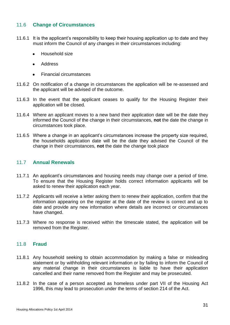#### <span id="page-30-0"></span>11.6 **Change of Circumstances**

- 11.6.1 It is the applicant's responsibility to keep their housing application up to date and they must inform the Council of any changes in their circumstances including:
	- Household size
	- Address  $\bullet$
	- Financial circumstances
- 11.6.2 On notification of a change in circumstances the application will be re-assessed and the applicant will be advised of the outcome.
- 11.6.3 In the event that the applicant ceases to qualify for the Housing Register their application will be closed.
- 11.6.4 Where an applicant moves to a new band their application date will be the date they informed the Council of the change in their circumstances, **not** the date the change in circumstances took place.
- 11.6.5 Where a change in an applicant's circumstances increase the property size required, the households application date will be the date they advised the Council of the change in their circumstances, **not** the date the change took place

#### <span id="page-30-1"></span>11.7 **Annual Renewals**

- 11.7.1 An applicant's circumstances and housing needs may change over a period of time. To ensure that the Housing Register holds correct information applicants will be asked to renew their application each year.
- 11.7.2 Applicants will receive a letter asking them to renew their application, confirm that the information appearing on the register at the date of the review is correct and up to date and provide any new information where details are incorrect or circumstances have changed.
- 11.7.3 Where no response is received within the timescale stated, the application will be removed from the Register.

#### <span id="page-30-2"></span>11.8 **Fraud**

- 11.8.1 Any household seeking to obtain accommodation by making a false or misleading statement or by withholding relevant information or by failing to inform the Council of any material change in their circumstances is liable to have their application cancelled and their name removed from the Register and may be prosecuted.
- 11.8.2 In the case of a person accepted as homeless under part VII of the Housing Act 1996, this may lead to prosecution under the terms of section 214 of the Act.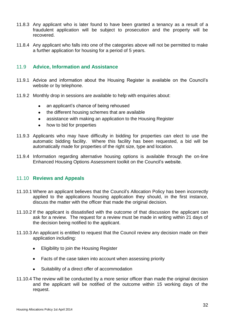- 11.8.3 Any applicant who is later found to have been granted a tenancy as a result of a fraudulent application will be subject to prosecution and the property will be recovered.
- 11.8.4 Any applicant who falls into one of the categories above will not be permitted to make a further application for housing for a period of 5 years.

#### <span id="page-31-0"></span>11.9 **Advice, Information and Assistance**

- 11.9.1 Advice and information about the Housing Register is available on the Council's website or by telephone.
- 11.9.2 Monthly drop in sessions are available to help with enquiries about:
	- an applicant's chance of being rehoused  $\bullet$
	- the different housing schemes that are available  $\bullet$
	- assistance with making an application to the Housing Register  $\bullet$
	- how to bid for properties  $\bullet$
- 11.9.3 Applicants who may have difficulty in bidding for properties can elect to use the automatic bidding facility. Where this facility has been requested, a bid will be automatically made for properties of the right size, type and location.
- 11.9.4 Information regarding alternative housing options is available through the on-line Enhanced Housing Options Assessment toolkit on the Council's website.

#### <span id="page-31-1"></span>11.10 **Reviews and Appeals**

- 11.10.1 Where an applicant believes that the Council's Allocation Policy has been incorrectly applied to the applications housing application they should, in the first instance, discuss the matter with the officer that made the original decision.
- 11.10.2 If the applicant is dissatisfied with the outcome of that discussion the applicant can ask for a review. The request for a review must be made in writing within 21 days of the decision being notified to the applicant.
- 11.10.3 An applicant is entitled to request that the Council review any decision made on their application including:
	- Eligibility to join the Housing Register  $\bullet$
	- Facts of the case taken into account when assessing priority  $\bullet$
	- Suitability of a direct offer of accommodation
- 11.10.4 The review will be conducted by a more senior officer than made the original decision and the applicant will be notified of the outcome within 15 working days of the request.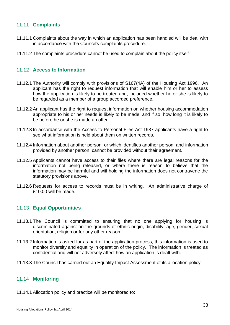#### <span id="page-32-0"></span>11.11 **Complaints**

- 11.11.1 Complaints about the way in which an application has been handled will be deal with in accordance with the Council's complaints procedure.
- 11.11.2 The complaints procedure cannot be used to complain about the policy itself

#### <span id="page-32-1"></span>11.12 **Access to Information**

- 11.12.1 The Authority will comply with provisions of S167(4A) of the Housing Act 1996. An applicant has the right to request information that will enable him or her to assess how the application is likely to be treated and, included whether he or she is likely to be regarded as a member of a group accorded preference.
- 11.12.2 An applicant has the right to request information on whether housing accommodation appropriate to his or her needs is likely to be made, and if so, how long it is likely to be before he or she is made an offer.
- 11.12.3 In accordance with the Access to Personal Files Act 1987 applicants have a right to see what information is held about them on written records.
- 11.12.4 Information about another person, or which identifies another person, and information provided by another person, cannot be provided without their agreement.
- 11.12.5 Applicants cannot have access to their files where there are legal reasons for the information not being released, or where there is reason to believe that the information may be harmful and withholding the information does not contravene the statutory provisions above.
- 11.12.6 Requests for access to records must be in writing. An administrative charge of £10.00 will be made.

#### <span id="page-32-2"></span>11.13 **Equal Opportunities**

- 11.13.1 The Council is committed to ensuring that no one applying for housing is discriminated against on the grounds of ethnic origin, disability, age, gender, sexual orientation, religion or for any other reason.
- 11.13.2 Information is asked for as part of the application process, this information is used to monitor diversity and equality in operation of the policy. The information is treated as confidential and will not adversely affect how an application is dealt with.
- 11.13.3 The Council has carried out an Equality Impact Assessment of its allocation policy.

#### <span id="page-32-3"></span>11.14 **Monitoring**

11.14.1 Allocation policy and practice will be monitored to: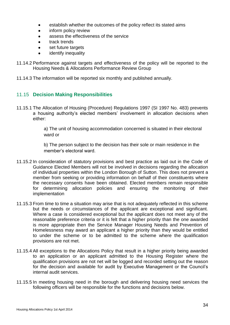- establish whether the outcomes of the policy reflect its stated aims
- inform policy review
- assess the effectiveness of the service
- track trends
- set future targets
- identify inequality
- 11.14.2 Performance against targets and effectiveness of the policy will be reported to the Housing Needs & Allocations Performance Review Group
- 11.14.3 The information will be reported six monthly and published annually.

#### <span id="page-33-0"></span>11.15 **Decision Making Responsibilities**

11.15.1 The Allocation of Housing (Procedure) Regulations 1997 (SI 1997 No. 483) prevents a housing authority's elected members' involvement in allocation decisions when either:

> a) The unit of housing accommodation concerned is situated in their electoral ward or

b) The person subject to the decision has their sole or main residence in the member's electoral ward.

- 11.15.2 In consideration of statutory provisions and best practice as laid out in the Code of Guidance Elected Members will not be involved in decisions regarding the allocation of individual properties within the London Borough of Sutton. This does not prevent a member from seeking or providing information on behalf of their constituents where the necessary consents have been obtained. Elected members remain responsible for determining allocation policies and ensuring the monitoring of their implementation
- 11.15.3 From time to time a situation may arise that is not adequately reflected in this scheme but the needs or circumstances of the applicant are exceptional and significant. Where a case is considered exceptional but the applicant does not meet any of the reasonable preference criteria or it is felt that a higher priority than the one awarded is more appropriate then the Service Manager Housing Needs and Prevention of Homelessness may award an applicant a higher priority than they would be entitled to under the scheme or to be admitted to the scheme where the qualification provisions are not met.
- 11.15.4 All exceptions to the Allocations Policy that result in a higher priority being awarded to an application or an applicant admitted to the Housing Register where the qualification provisions are not net will be logged and recorded setting out the reason for the decision and available for audit by Executive Management or the Council's internal audit services.
- 11.15.5 In meeting housing need in the borough and delivering housing need services the following officers will be responsible for the functions and decisions below.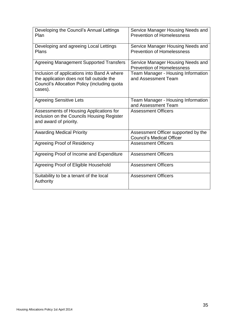| Developing the Council's Annual Lettings<br>Plan                                                                                                    | Service Manager Housing Needs and<br><b>Prevention of Homelessness</b>  |
|-----------------------------------------------------------------------------------------------------------------------------------------------------|-------------------------------------------------------------------------|
| Developing and agreeing Local Lettings<br>Plans                                                                                                     | Service Manager Housing Needs and<br><b>Prevention of Homelessness</b>  |
| Agreeing Management Supported Transfers                                                                                                             | Service Manager Housing Needs and<br><b>Prevention of Homelessness</b>  |
| Inclusion of applications into Band A where<br>the application does not fall outside the<br>Council's Allocation Policy (including quota<br>cases). | <b>Team Manager - Housing Information</b><br>and Assessment Team        |
| <b>Agreeing Sensitive Lets</b>                                                                                                                      | Team Manager - Housing Information<br>and Assessment Team               |
| Assessments of Housing Applications for<br>inclusion on the Councils Housing Register<br>and award of priority.                                     | <b>Assessment Officers</b>                                              |
| <b>Awarding Medical Priority</b>                                                                                                                    | Assessment Officer supported by the<br><b>Council's Medical Officer</b> |
| <b>Agreeing Proof of Residency</b>                                                                                                                  | <b>Assessment Officers</b>                                              |
| Agreeing Proof of Income and Expenditure                                                                                                            | <b>Assessment Officers</b>                                              |
| Agreeing Proof of Eligible Household                                                                                                                | <b>Assessment Officers</b>                                              |
| Suitability to be a tenant of the local<br>Authority                                                                                                | <b>Assessment Officers</b>                                              |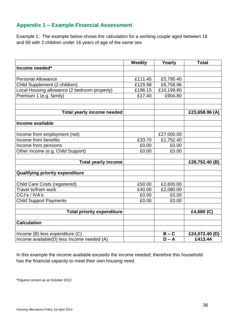# <span id="page-35-0"></span>**Appendix 1 – Example Financial Assessment**

Example 1: The example below shows the calculation for a working couple aged between 18 and 60 with 2 children under 16 years of age of the same sex

|                                              | Weekly  | Yearly     | <b>Total</b>   |
|----------------------------------------------|---------|------------|----------------|
| Income needed*                               |         |            |                |
|                                              |         |            |                |
| <b>Personal Allowance</b>                    | £111.45 | £5,795.40  |                |
| Child Supplement (2 children)                | £129.98 | £6,758.96  |                |
| Local Housing allowance (2 bedroom property) | £196.15 | £10,199.80 |                |
| Premium 1 (e.g. family)                      | £17.40  | £904.80    |                |
|                                              |         |            |                |
| <b>Total yearly income needed</b>            |         |            | £23,658.96 (A) |
| Income available                             |         |            |                |
|                                              |         |            |                |
| Income from employment (net)                 |         | £27,000.00 |                |
| Income from benefits                         | £33.70  | £1,752.40  |                |
| Income from pensions                         | £0.00   | £0.00      |                |
| Other income (e.g. Child Support)            | £0.00   | £0.00      |                |
| <b>Total yearly income</b>                   |         |            | £28,752.40 (B) |
| <b>Qualifying priority expenditure</b>       |         |            |                |
| <b>Child Care Costs (registered)</b>         | £50.00  | £2,600.00  |                |
| Travel to/from work                          | £40.00  | £2,080.00  |                |
| CCJ's / IVA's                                | £0.00   | £0.00      |                |
| <b>Child Support Payments</b>                | £0.00   | £0.00      |                |
|                                              |         |            |                |
| <b>Total priority expenditure</b>            |         |            | £4,680 (C)     |
| <b>Calculation</b>                           |         |            |                |
|                                              |         |            |                |
| Income (B) less expenditure (C)              |         | $B - C$    | £24,072.40 (D) |
| Income available(D) less Income needed (A)   |         | $D - A$    | £413.44        |

In this example the income available exceeds the income needed; therefore this household has the financial capacity to meet their own housing need.

\*Figures correct as at October 2012